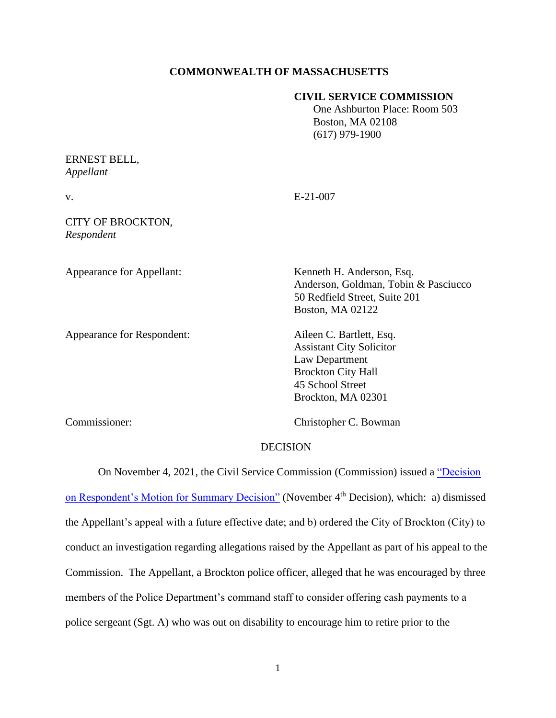## **COMMONWEALTH OF MASSACHUSETTS**

### **CIVIL SERVICE COMMISSION**

 One Ashburton Place: Room 503 Boston, MA 02108 (617) 979-1900

# ERNEST BELL, *Appellant*

| I<br>I |        |  |
|--------|--------|--|
|        | $\sim$ |  |

 $E-21-007$ 

## CITY OF BROCKTON, *Respondent*

Appearance for Respondent: Aileen C. Bartlett, Esq.

Appearance for Appellant: Kenneth H. Anderson, Esq. Anderson, Goldman, Tobin & Pasciucco 50 Redfield Street, Suite 201 Boston, MA 02122

> Assistant City Solicitor Law Department Brockton City Hall 45 School Street Brockton, MA 02301

Commissioner: Christopher C. Bowman

### DECISION

On November 4, 2021, the Civil Service Commission (Commission) issued a ["Decision](https://www.mass.gov/doc/bell-ernest-v-city-of-brockton-11421/download?_ga=2.82639504.723711079.1649624070-1035764959.1600191226)  [on Respondent's Motion for Summary Decision"](https://www.mass.gov/doc/bell-ernest-v-city-of-brockton-11421/download?_ga=2.82639504.723711079.1649624070-1035764959.1600191226) (November 4<sup>th</sup> Decision), which: a) dismissed the Appellant's appeal with a future effective date; and b) ordered the City of Brockton (City) to conduct an investigation regarding allegations raised by the Appellant as part of his appeal to the Commission. The Appellant, a Brockton police officer, alleged that he was encouraged by three members of the Police Department's command staff to consider offering cash payments to a police sergeant (Sgt. A) who was out on disability to encourage him to retire prior to the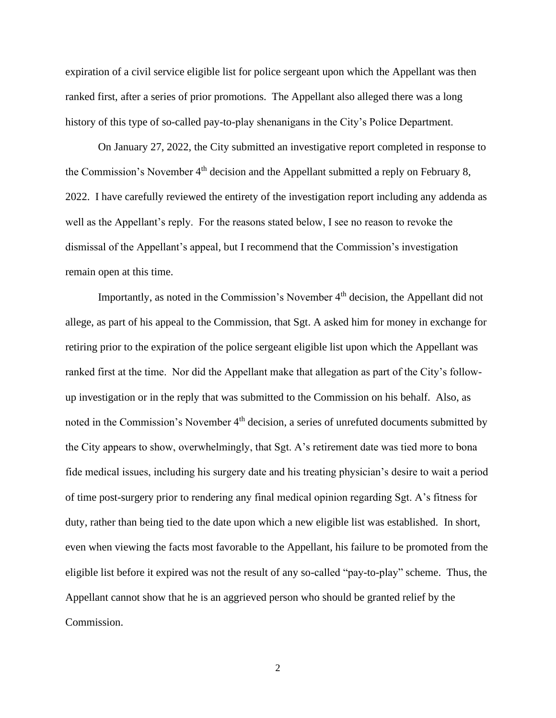expiration of a civil service eligible list for police sergeant upon which the Appellant was then ranked first, after a series of prior promotions. The Appellant also alleged there was a long history of this type of so-called pay-to-play shenanigans in the City's Police Department.

On January 27, 2022, the City submitted an investigative report completed in response to the Commission's November 4<sup>th</sup> decision and the Appellant submitted a reply on February 8, 2022. I have carefully reviewed the entirety of the investigation report including any addenda as well as the Appellant's reply. For the reasons stated below, I see no reason to revoke the dismissal of the Appellant's appeal, but I recommend that the Commission's investigation remain open at this time.

Importantly, as noted in the Commission's November 4<sup>th</sup> decision, the Appellant did not allege, as part of his appeal to the Commission, that Sgt. A asked him for money in exchange for retiring prior to the expiration of the police sergeant eligible list upon which the Appellant was ranked first at the time. Nor did the Appellant make that allegation as part of the City's followup investigation or in the reply that was submitted to the Commission on his behalf. Also, as noted in the Commission's November 4<sup>th</sup> decision, a series of unrefuted documents submitted by the City appears to show, overwhelmingly, that Sgt. A's retirement date was tied more to bona fide medical issues, including his surgery date and his treating physician's desire to wait a period of time post-surgery prior to rendering any final medical opinion regarding Sgt. A's fitness for duty, rather than being tied to the date upon which a new eligible list was established. In short, even when viewing the facts most favorable to the Appellant, his failure to be promoted from the eligible list before it expired was not the result of any so-called "pay-to-play" scheme. Thus, the Appellant cannot show that he is an aggrieved person who should be granted relief by the Commission.

2